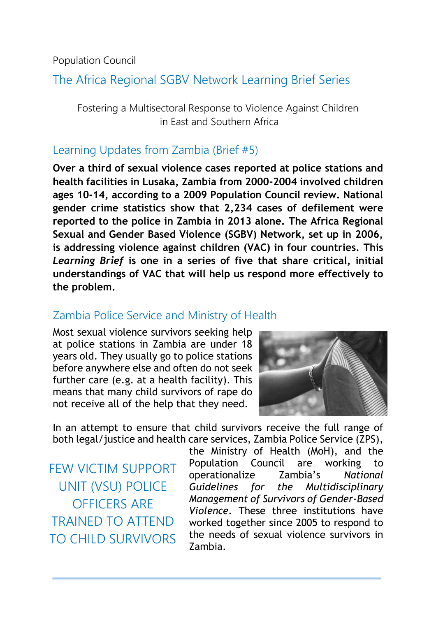Population Council

# The Africa Regional SGBV Network Learning Brief Series

Fostering a Multisectoral Response to Violence Against Children in East and Southern Africa

### Learning Updates from Zambia (Brief #5)

**Over a third of sexual violence cases reported at police stations and health facilities in Lusaka, Zambia from 2000-2004 involved children ages 10-14, according to a 2009 Population Council review. National gender crime statistics show that 2,234 cases of defilement were reported to the police in Zambia in 2013 alone. The Africa Regional Sexual and Gender Based Violence (SGBV) Network, set up in 2006, is addressing violence against children (VAC) in four countries. This**  *Learning Brief* **is one in a series of five that share critical, initial understandings of VAC that will help us respond more effectively to the problem.**

### Zambia Police Service and Ministry of Health

Most sexual violence survivors seeking help at police stations in Zambia are under 18 years old. They usually go to police stations before anywhere else and often do not seek further care (e.g. at a health facility). This means that many child survivors of rape do not receive all of the help that they need.



In an attempt to ensure that child survivors receive the full range of both legal/justice and health care services, Zambia Police Service (ZPS),

FEW VICTIM SUPPORT UNIT (VSU) POLICE OFFICERS ARE TRAINED TO ATTEND TO CHILD SURVIVORS the Ministry of Health (MoH), and the Population Council are working to operationalize Zambia's *National Guidelines for the Multidisciplinary Management of Survivors of Gender-Based Violence*. These three institutions have worked together since 2005 to respond to the needs of sexual violence survivors in Zambia.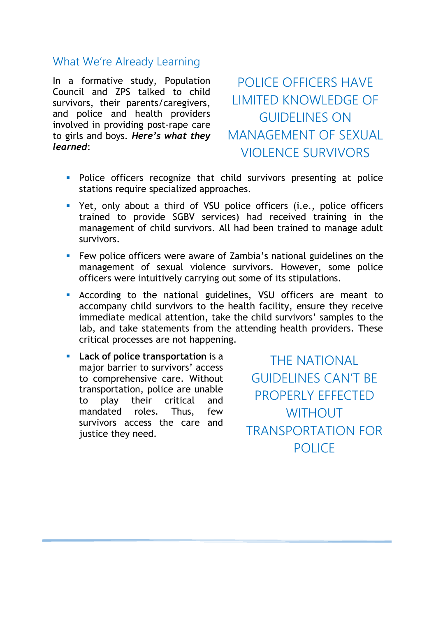#### What We're Already Learning

In a formative study, Population Council and ZPS talked to child survivors, their parents/caregivers, and police and health providers involved in providing post-rape care to girls and boys. *Here's what they learned*:

POLICE OFFICERS HAVE LIMITED KNOWLEDGE OF GUIDELINES ON MANAGEMENT OF SEXUAL VIOLENCE SURVIVORS

- **Police officers recognize that child survivors presenting at police** stations require specialized approaches.
- Yet, only about a third of VSU police officers (i.e., police officers trained to provide SGBV services) had received training in the management of child survivors. All had been trained to manage adult survivors.
- **Few police officers were aware of Zambia's national guidelines on the** management of sexual violence survivors. However, some police officers were intuitively carrying out some of its stipulations.
- According to the national guidelines, VSU officers are meant to accompany child survivors to the health facility, ensure they receive immediate medical attention, take the child survivors' samples to the lab, and take statements from the attending health providers. These critical processes are not happening.
- **Lack of police transportation** is a major barrier to survivors' access to comprehensive care. Without transportation, police are unable to play their critical and mandated roles. Thus, few survivors access the care and justice they need.

THE NATIONAL GUIDELINES CAN'T BE PROPERLY EFFECTED **WITHOUT** TRANSPORTATION FOR **POLICE**